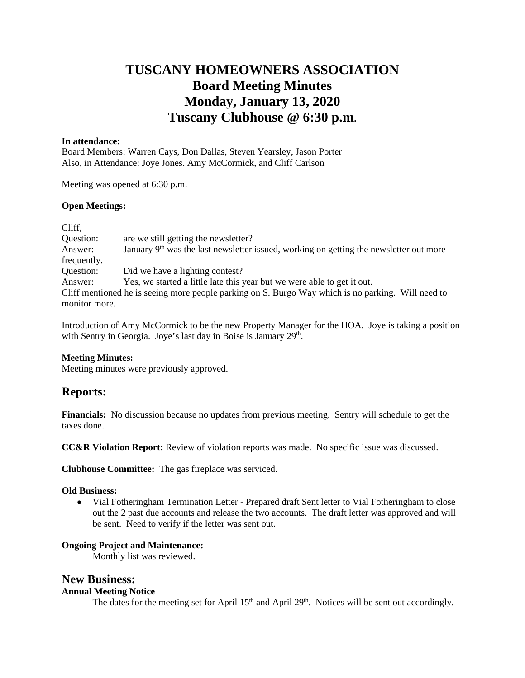# **TUSCANY HOMEOWNERS ASSOCIATION Board Meeting Minutes Monday, January 13, 2020 Tuscany Clubhouse @ 6:30 p.m.**

#### **In attendance:**

Board Members: Warren Cays, Don Dallas, Steven Yearsley, Jason Porter Also, in Attendance: Joye Jones. Amy McCormick, and Cliff Carlson

Meeting was opened at 6:30 p.m.

#### **Open Meetings:**

| Cliff,                                                                                             |                                                                                          |  |
|----------------------------------------------------------------------------------------------------|------------------------------------------------------------------------------------------|--|
| Question:                                                                                          | are we still getting the newsletter?                                                     |  |
| Answer:                                                                                            | January $9th$ was the last newsletter issued, working on getting the newsletter out more |  |
| frequently.                                                                                        |                                                                                          |  |
| Question:                                                                                          | Did we have a lighting contest?                                                          |  |
| Answer:                                                                                            | Yes, we started a little late this year but we were able to get it out.                  |  |
| Cliff mentioned he is seeing more people parking on S. Burgo Way which is no parking. Will need to |                                                                                          |  |
| monitor more.                                                                                      |                                                                                          |  |

Introduction of Amy McCormick to be the new Property Manager for the HOA. Joye is taking a position with Sentry in Georgia. Joye's last day in Boise is January 29th.

#### **Meeting Minutes:**

Meeting minutes were previously approved.

## **Reports:**

**Financials:** No discussion because no updates from previous meeting. Sentry will schedule to get the taxes done.

**CC&R Violation Report:** Review of violation reports was made. No specific issue was discussed.

**Clubhouse Committee:** The gas fireplace was serviced.

#### **Old Business:**

• Vial Fotheringham Termination Letter - Prepared draft Sent letter to Vial Fotheringham to close out the 2 past due accounts and release the two accounts. The draft letter was approved and will be sent. Need to verify if the letter was sent out.

#### **Ongoing Project and Maintenance:**

Monthly list was reviewed.

### **New Business:**

#### **Annual Meeting Notice**

The dates for the meeting set for April 15<sup>th</sup> and April 29<sup>th</sup>. Notices will be sent out accordingly.